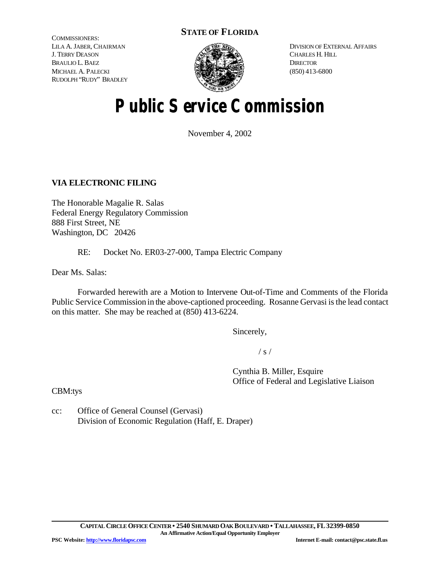# **STATE OF FLORIDA**

COMMISSIONERS: LILA A. JABER, CHAIRMAN J. TERRY DEASON BRAULIO L. BAEZ MICHAEL A. PALECKI RUDOLPH "RUDY" BRADLEY



DIVISION OF EXTERNAL AFFAIRS CHARLES H. HILL **DIRECTOR** (850) 413-6800

# **Public Service Commission**

November 4, 2002

## **VIA ELECTRONIC FILING**

The Honorable Magalie R. Salas Federal Energy Regulatory Commission 888 First Street, NE Washington, DC 20426

RE: Docket No. ER03-27-000, Tampa Electric Company

Dear Ms. Salas:

Forwarded herewith are a Motion to Intervene Out-of-Time and Comments of the Florida Public Service Commission in the above-captioned proceeding. Rosanne Gervasi is the lead contact on this matter. She may be reached at (850) 413-6224.

Sincerely,

 $/ s /$ 

Cynthia B. Miller, Esquire Office of Federal and Legislative Liaison

CBM:tys

cc: Office of General Counsel (Gervasi) Division of Economic Regulation (Haff, E. Draper)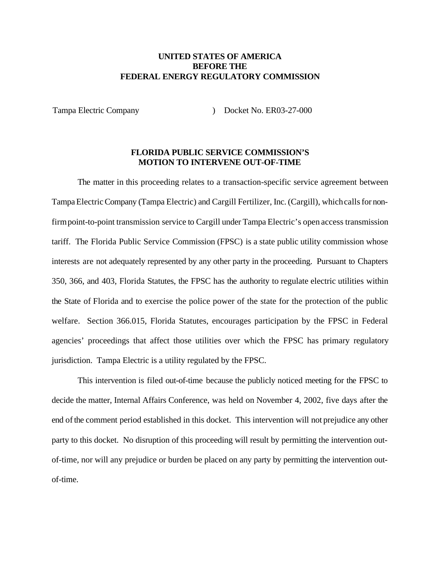### **UNITED STATES OF AMERICA BEFORE THE FEDERAL ENERGY REGULATORY COMMISSION**

Tampa Electric Company (and Company ) Docket No. ER03-27-000

#### **FLORIDA PUBLIC SERVICE COMMISSION'S MOTION TO INTERVENE OUT-OF-TIME**

The matter in this proceeding relates to a transaction-specific service agreement between TampaElectricCompany (Tampa Electric) and Cargill Fertilizer, Inc. (Cargill), whichcallsfor nonfirmpoint-to-point transmission service to Cargill under Tampa Electric's open access transmission tariff. The Florida Public Service Commission (FPSC) is a state public utility commission whose interests are not adequately represented by any other party in the proceeding. Pursuant to Chapters 350, 366, and 403, Florida Statutes, the FPSC has the authority to regulate electric utilities within the State of Florida and to exercise the police power of the state for the protection of the public welfare. Section 366.015, Florida Statutes, encourages participation by the FPSC in Federal agencies' proceedings that affect those utilities over which the FPSC has primary regulatory jurisdiction. Tampa Electric is a utility regulated by the FPSC.

This intervention is filed out-of-time because the publicly noticed meeting for the FPSC to decide the matter, Internal Affairs Conference, was held on November 4, 2002, five days after the end of the comment period established in this docket. This intervention will not prejudice any other party to this docket. No disruption of this proceeding will result by permitting the intervention outof-time, nor will any prejudice or burden be placed on any party by permitting the intervention outof-time.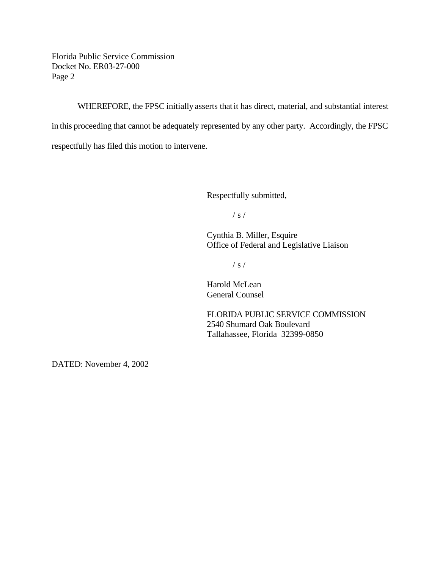Florida Public Service Commission Docket No. ER03-27-000 Page 2

WHEREFORE, the FPSC initially asserts that it has direct, material, and substantial interest in this proceeding that cannot be adequately represented by any other party. Accordingly, the FPSC respectfully has filed this motion to intervene.

Respectfully submitted,

/ s /

Cynthia B. Miller, Esquire Office of Federal and Legislative Liaison

/ s /

Harold McLean General Counsel

FLORIDA PUBLIC SERVICE COMMISSION 2540 Shumard Oak Boulevard Tallahassee, Florida 32399-0850

DATED: November 4, 2002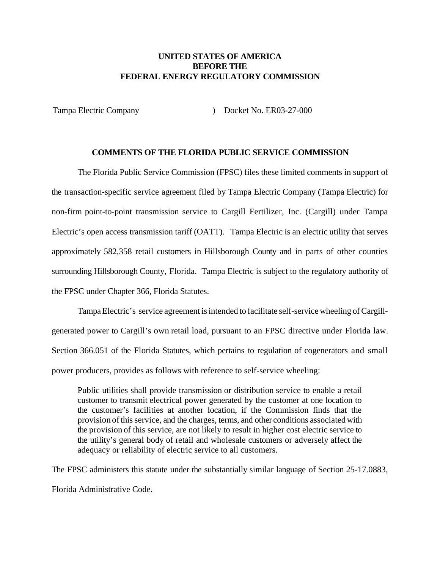#### **UNITED STATES OF AMERICA BEFORE THE FEDERAL ENERGY REGULATORY COMMISSION**

Tampa Electric Company (and Company ) Docket No. ER03-27-000

## **COMMENTS OF THE FLORIDA PUBLIC SERVICE COMMISSION**

The Florida Public Service Commission (FPSC) files these limited comments in support of the transaction-specific service agreement filed by Tampa Electric Company (Tampa Electric) for non-firm point-to-point transmission service to Cargill Fertilizer, Inc. (Cargill) under Tampa Electric's open access transmission tariff (OATT). Tampa Electric is an electric utility that serves approximately 582,358 retail customers in Hillsborough County and in parts of other counties surrounding Hillsborough County, Florida. Tampa Electric is subject to the regulatory authority of the FPSC under Chapter 366, Florida Statutes.

TampaElectric's service agreement is intended to facilitate self-service wheeling of Cargillgenerated power to Cargill's own retail load, pursuant to an FPSC directive under Florida law. Section 366.051 of the Florida Statutes, which pertains to regulation of cogenerators and small power producers, provides as follows with reference to self-service wheeling:

Public utilities shall provide transmission or distribution service to enable a retail customer to transmit electrical power generated by the customer at one location to the customer's facilities at another location, if the Commission finds that the provision of this service, and the charges, terms, and other conditions associated with the provision of this service, are not likely to result in higher cost electric service to the utility's general body of retail and wholesale customers or adversely affect the adequacy or reliability of electric service to all customers.

The FPSC administers this statute under the substantially similar language of Section 25-17.0883, Florida Administrative Code.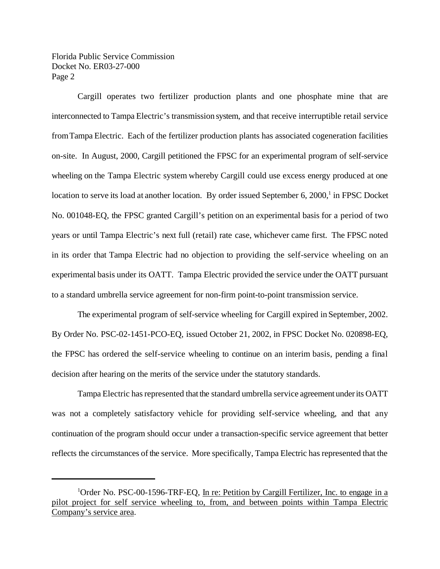Florida Public Service Commission Docket No. ER03-27-000 Page 2

Cargill operates two fertilizer production plants and one phosphate mine that are interconnected to Tampa Electric's transmission system, and that receive interruptible retail service fromTampa Electric. Each of the fertilizer production plants has associated cogeneration facilities on-site. In August, 2000, Cargill petitioned the FPSC for an experimental program of self-service wheeling on the Tampa Electric system whereby Cargill could use excess energy produced at one location to serve its load at another location. By order issued September 6, 2000,<sup>1</sup> in FPSC Docket No. 001048-EQ, the FPSC granted Cargill's petition on an experimental basis for a period of two years or until Tampa Electric's next full (retail) rate case, whichever came first. The FPSC noted in its order that Tampa Electric had no objection to providing the self-service wheeling on an experimental basis under its OATT. Tampa Electric provided the service under the OATT pursuant to a standard umbrella service agreement for non-firm point-to-point transmission service.

The experimental program of self-service wheeling for Cargill expired in September, 2002. By Order No. PSC-02-1451-PCO-EQ, issued October 21, 2002, in FPSC Docket No. 020898-EQ, the FPSC has ordered the self-service wheeling to continue on an interim basis, pending a final decision after hearing on the merits of the service under the statutory standards.

Tampa Electric has represented that the standard umbrella service agreement under its OATT was not a completely satisfactory vehicle for providing self-service wheeling, and that any continuation of the program should occur under a transaction-specific service agreement that better reflects the circumstances of the service. More specifically, Tampa Electric has represented that the

<sup>&</sup>lt;sup>1</sup>Order No. PSC-00-1596-TRF-EQ, In re: Petition by Cargill Fertilizer, Inc. to engage in a pilot project for self service wheeling to, from, and between points within Tampa Electric Company's service area.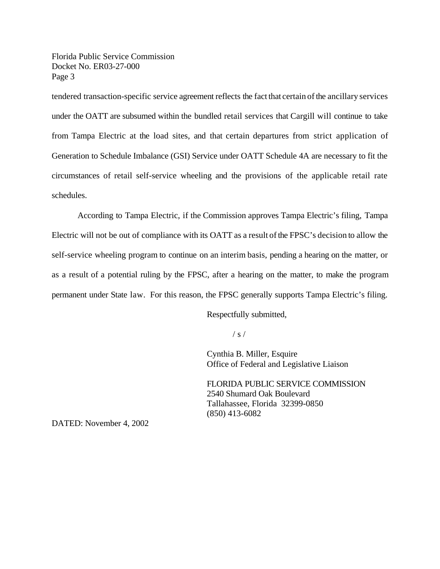Florida Public Service Commission Docket No. ER03-27-000 Page 3

tendered transaction-specific service agreement reflects the fact that certain ofthe ancillary services under the OATT are subsumed within the bundled retail services that Cargill will continue to take from Tampa Electric at the load sites, and that certain departures from strict application of Generation to Schedule Imbalance (GSI) Service under OATT Schedule 4A are necessary to fit the circumstances of retail self-service wheeling and the provisions of the applicable retail rate schedules.

According to Tampa Electric, if the Commission approves Tampa Electric's filing, Tampa Electric will not be out of compliance with its OATT as a result ofthe FPSC's decision to allow the self-service wheeling program to continue on an interim basis, pending a hearing on the matter, or as a result of a potential ruling by the FPSC, after a hearing on the matter, to make the program permanent under State law. For this reason, the FPSC generally supports Tampa Electric's filing.

Respectfully submitted,

 $/ s /$ 

Cynthia B. Miller, Esquire Office of Federal and Legislative Liaison

FLORIDA PUBLIC SERVICE COMMISSION 2540 Shumard Oak Boulevard Tallahassee, Florida 32399-0850 (850) 413-6082

DATED: November 4, 2002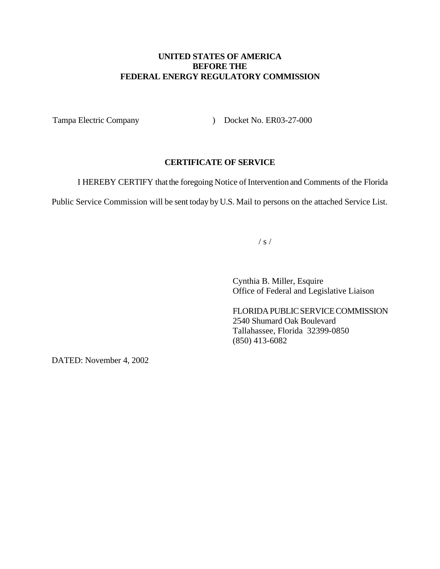## **UNITED STATES OF AMERICA BEFORE THE FEDERAL ENERGY REGULATORY COMMISSION**

Tampa Electric Company (and Company ) Docket No. ER03-27-000

#### **CERTIFICATE OF SERVICE**

I HEREBY CERTIFY that the foregoing Notice of Intervention and Comments of the Florida

Public Service Commission will be sent today by U.S. Mail to persons on the attached Service List.

 $/ s /$ 

Cynthia B. Miller, Esquire Office of Federal and Legislative Liaison

FLORIDAPUBLICSERVICE COMMISSION 2540 Shumard Oak Boulevard Tallahassee, Florida 32399-0850 (850) 413-6082

DATED: November 4, 2002